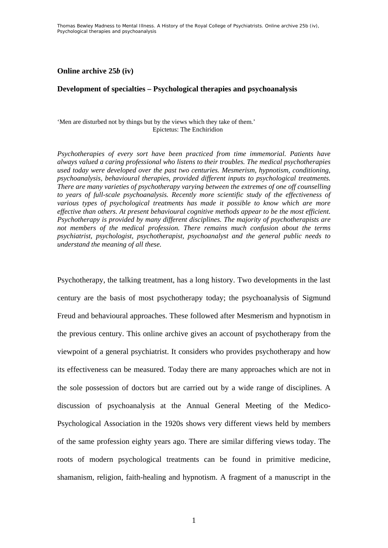### **Online archive 25***b* **(iv)**

## **Development of specialties – Psychological therapies and psychoanalysis**

'Men are disturbed not by things but by the views which they take of them.' Epictetus: The Enchiridion

*Psychotherapies of every sort have been practiced from time immemorial. Patients have always valued a caring professional who listens to their troubles. The medical psychotherapies used today were developed over the past two centuries. Mesmerism, hypnotism, conditioning, psychoanalysis, behavioural therapies, provided different inputs to psychological treatments. There are many varieties of psychotherapy varying between the extremes of one off counselling to years of full-scale psychoanalysis. Recently more scientific study of the effectiveness of various types of psychological treatments has made it possible to know which are more effective than others. At present behavioural cognitive methods appear to be the most efficient. Psychotherapy is provided by many different disciplines. The majority of psychotherapists are not members of the medical profession. There remains much confusion about the terms psychiatrist, psychologist, psychotherapist, psychoanalyst and the general public needs to understand the meaning of all these.* 

Psychotherapy, the talking treatment, has a long history. Two developments in the last century are the basis of most psychotherapy today; the psychoanalysis of Sigmund Freud and behavioural approaches. These followed after Mesmerism and hypnotism in the previous century. This online archive gives an account of psychotherapy from the viewpoint of a general psychiatrist. It considers who provides psychotherapy and how its effectiveness can be measured. Today there are many approaches which are not in the sole possession of doctors but are carried out by a wide range of disciplines. A discussion of psychoanalysis at the Annual General Meeting of the Medico-Psychological Association in the 1920s shows very different views held by members of the same profession eighty years ago. There are similar differing views today. The roots of modern psychological treatments can be found in primitive medicine, shamanism, religion, faith-healing and hypnotism. A fragment of a manuscript in the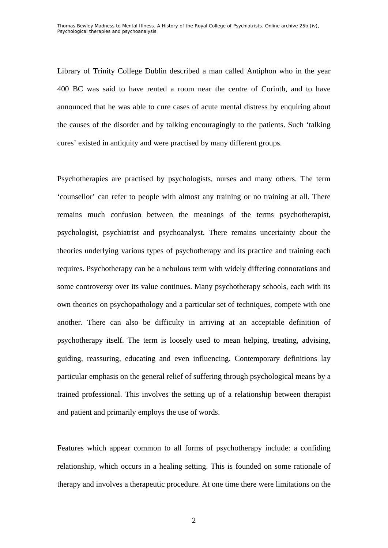Library of Trinity College Dublin described a man called Antiphon who in the year 400 BC was said to have rented a room near the centre of Corinth, and to have announced that he was able to cure cases of acute mental distress by enquiring about the causes of the disorder and by talking encouragingly to the patients. Such 'talking cures' existed in antiquity and were practised by many different groups.

Psychotherapies are practised by psychologists, nurses and many others. The term 'counsellor' can refer to people with almost any training or no training at all. There remains much confusion between the meanings of the terms psychotherapist, psychologist, psychiatrist and psychoanalyst. There remains uncertainty about the theories underlying various types of psychotherapy and its practice and training each requires. Psychotherapy can be a nebulous term with widely differing connotations and some controversy over its value continues. Many psychotherapy schools, each with its own theories on psychopathology and a particular set of techniques, compete with one another. There can also be difficulty in arriving at an acceptable definition of psychotherapy itself. The term is loosely used to mean helping, treating, advising, guiding, reassuring, educating and even influencing. Contemporary definitions lay particular emphasis on the general relief of suffering through psychological means by a trained professional. This involves the setting up of a relationship between therapist and patient and primarily employs the use of words.

Features which appear common to all forms of psychotherapy include: a confiding relationship, which occurs in a healing setting. This is founded on some rationale of therapy and involves a therapeutic procedure. At one time there were limitations on the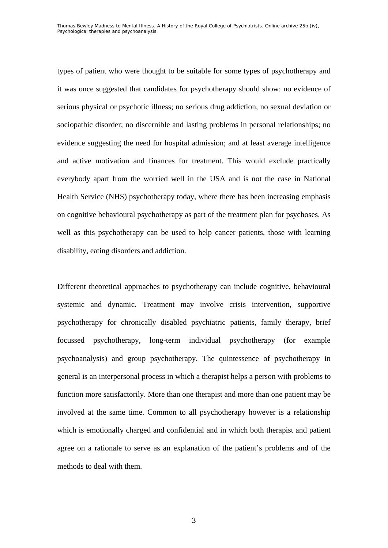types of patient who were thought to be suitable for some types of psychotherapy and it was once suggested that candidates for psychotherapy should show: no evidence of serious physical or psychotic illness; no serious drug addiction, no sexual deviation or sociopathic disorder; no discernible and lasting problems in personal relationships; no evidence suggesting the need for hospital admission; and at least average intelligence and active motivation and finances for treatment. This would exclude practically everybody apart from the worried well in the USA and is not the case in National Health Service (NHS) psychotherapy today, where there has been increasing emphasis on cognitive behavioural psychotherapy as part of the treatment plan for psychoses. As well as this psychotherapy can be used to help cancer patients, those with learning disability, eating disorders and addiction.

Different theoretical approaches to psychotherapy can include cognitive, behavioural systemic and dynamic. Treatment may involve crisis intervention, supportive psychotherapy for chronically disabled psychiatric patients, family therapy, brief focussed psychotherapy, long-term individual psychotherapy (for example psychoanalysis) and group psychotherapy. The quintessence of psychotherapy in general is an interpersonal process in which a therapist helps a person with problems to function more satisfactorily. More than one therapist and more than one patient may be involved at the same time. Common to all psychotherapy however is a relationship which is emotionally charged and confidential and in which both therapist and patient agree on a rationale to serve as an explanation of the patient's problems and of the methods to deal with them.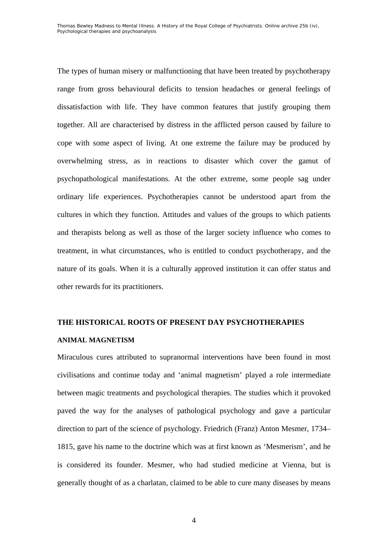The types of human misery or malfunctioning that have been treated by psychotherapy range from gross behavioural deficits to tension headaches or general feelings of dissatisfaction with life. They have common features that justify grouping them together. All are characterised by distress in the afflicted person caused by failure to cope with some aspect of living. At one extreme the failure may be produced by overwhelming stress, as in reactions to disaster which cover the gamut of psychopathological manifestations. At the other extreme, some people sag under ordinary life experiences. Psychotherapies cannot be understood apart from the cultures in which they function. Attitudes and values of the groups to which patients and therapists belong as well as those of the larger society influence who comes to treatment, in what circumstances, who is entitled to conduct psychotherapy, and the nature of its goals. When it is a culturally approved institution it can offer status and other rewards for its practitioners.

# **THE HISTORICAL ROOTS OF PRESENT DAY PSYCHOTHERAPIES**

#### **ANIMAL MAGNETISM**

Miraculous cures attributed to supranormal interventions have been found in most civilisations and continue today and 'animal magnetism' played a role intermediate between magic treatments and psychological therapies. The studies which it provoked paved the way for the analyses of pathological psychology and gave a particular direction to part of the science of psychology. Friedrich (Franz) Anton Mesmer, 1734– 1815, gave his name to the doctrine which was at first known as 'Mesmerism', and he is considered its founder. Mesmer, who had studied medicine at Vienna, but is generally thought of as a charlatan, claimed to be able to cure many diseases by means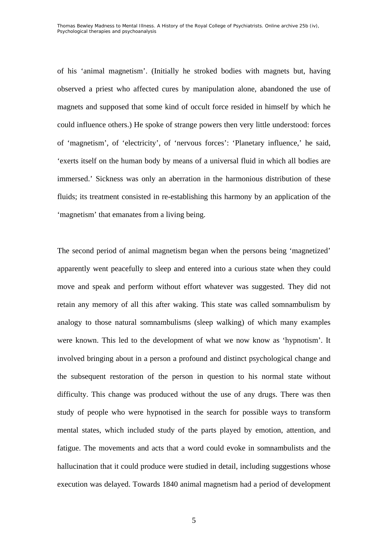of his 'animal magnetism'. (Initially he stroked bodies with magnets but, having observed a priest who affected cures by manipulation alone, abandoned the use of magnets and supposed that some kind of occult force resided in himself by which he could influence others.) He spoke of strange powers then very little understood: forces of 'magnetism', of 'electricity', of 'nervous forces': 'Planetary influence,' he said, 'exerts itself on the human body by means of a universal fluid in which all bodies are immersed.' Sickness was only an aberration in the harmonious distribution of these fluids; its treatment consisted in re-establishing this harmony by an application of the 'magnetism' that emanates from a living being.

The second period of animal magnetism began when the persons being 'magnetized' apparently went peacefully to sleep and entered into a curious state when they could move and speak and perform without effort whatever was suggested. They did not retain any memory of all this after waking. This state was called somnambulism by analogy to those natural somnambulisms (sleep walking) of which many examples were known. This led to the development of what we now know as 'hypnotism'. It involved bringing about in a person a profound and distinct psychological change and the subsequent restoration of the person in question to his normal state without difficulty. This change was produced without the use of any drugs. There was then study of people who were hypnotised in the search for possible ways to transform mental states, which included study of the parts played by emotion, attention, and fatigue. The movements and acts that a word could evoke in somnambulists and the hallucination that it could produce were studied in detail, including suggestions whose execution was delayed. Towards 1840 animal magnetism had a period of development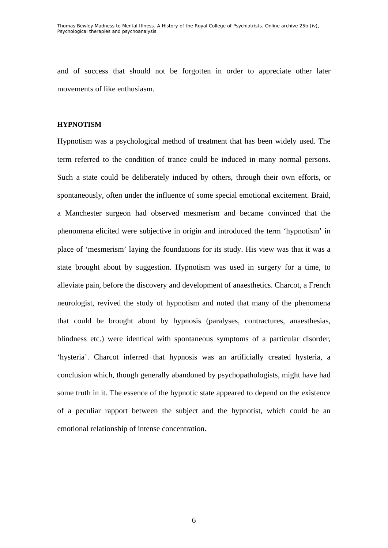and of success that should not be forgotten in order to appreciate other later movements of like enthusiasm.

#### **HYPNOTISM**

Hypnotism was a psychological method of treatment that has been widely used. The term referred to the condition of trance could be induced in many normal persons. Such a state could be deliberately induced by others, through their own efforts, or spontaneously, often under the influence of some special emotional excitement. Braid, a Manchester surgeon had observed mesmerism and became convinced that the phenomena elicited were subjective in origin and introduced the term 'hypnotism' in place of 'mesmerism' laying the foundations for its study. His view was that it was a state brought about by suggestion. Hypnotism was used in surgery for a time, to alleviate pain, before the discovery and development of anaesthetics. Charcot, a French neurologist, revived the study of hypnotism and noted that many of the phenomena that could be brought about by hypnosis (paralyses, contractures, anaesthesias, blindness etc.) were identical with spontaneous symptoms of a particular disorder, 'hysteria'. Charcot inferred that hypnosis was an artificially created hysteria, a conclusion which, though generally abandoned by psychopathologists, might have had some truth in it. The essence of the hypnotic state appeared to depend on the existence of a peculiar rapport between the subject and the hypnotist, which could be an emotional relationship of intense concentration.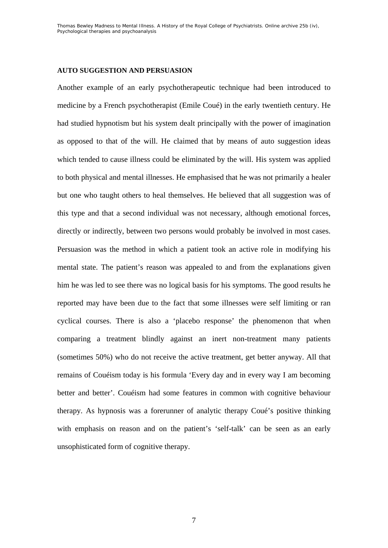#### **AUTO SUGGESTION AND PERSUASION**

Another example of an early psychotherapeutic technique had been introduced to medicine by a French psychotherapist (Emile Coué) in the early twentieth century. He had studied hypnotism but his system dealt principally with the power of imagination as opposed to that of the will. He claimed that by means of auto suggestion ideas which tended to cause illness could be eliminated by the will. His system was applied to both physical and mental illnesses. He emphasised that he was not primarily a healer but one who taught others to heal themselves. He believed that all suggestion was of this type and that a second individual was not necessary, although emotional forces, directly or indirectly, between two persons would probably be involved in most cases. Persuasion was the method in which a patient took an active role in modifying his mental state. The patient's reason was appealed to and from the explanations given him he was led to see there was no logical basis for his symptoms. The good results he reported may have been due to the fact that some illnesses were self limiting or ran cyclical courses. There is also a 'placebo response' the phenomenon that when comparing a treatment blindly against an inert non-treatment many patients (sometimes 50%) who do not receive the active treatment, get better anyway. All that remains of Couéism today is his formula 'Every day and in every way I am becoming better and better'. Couéism had some features in common with cognitive behaviour therapy. As hypnosis was a forerunner of analytic therapy Coué's positive thinking with emphasis on reason and on the patient's 'self-talk' can be seen as an early unsophisticated form of cognitive therapy.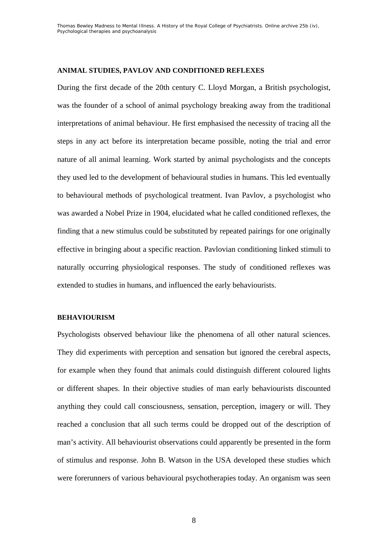#### **ANIMAL STUDIES, PAVLOV AND CONDITIONED REFLEXES**

During the first decade of the 20th century C. Lloyd Morgan, a British psychologist, was the founder of a school of animal psychology breaking away from the traditional interpretations of animal behaviour. He first emphasised the necessity of tracing all the steps in any act before its interpretation became possible, noting the trial and error nature of all animal learning. Work started by animal psychologists and the concepts they used led to the development of behavioural studies in humans. This led eventually to behavioural methods of psychological treatment. Ivan Pavlov, a psychologist who was awarded a Nobel Prize in 1904, elucidated what he called conditioned reflexes, the finding that a new stimulus could be substituted by repeated pairings for one originally effective in bringing about a specific reaction. Pavlovian conditioning linked stimuli to naturally occurring physiological responses. The study of conditioned reflexes was extended to studies in humans, and influenced the early behaviourists.

#### **BEHAVIOURISM**

Psychologists observed behaviour like the phenomena of all other natural sciences. They did experiments with perception and sensation but ignored the cerebral aspects, for example when they found that animals could distinguish different coloured lights or different shapes. In their objective studies of man early behaviourists discounted anything they could call consciousness, sensation, perception, imagery or will. They reached a conclusion that all such terms could be dropped out of the description of man's activity. All behaviourist observations could apparently be presented in the form of stimulus and response. John B. Watson in the USA developed these studies which were forerunners of various behavioural psychotherapies today. An organism was seen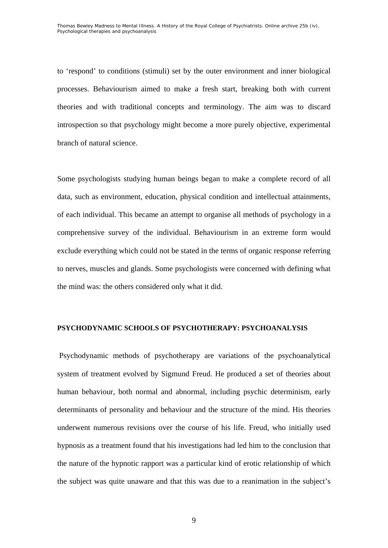to 'respond' to conditions (stimuli) set by the outer environment and inner biological processes. Behaviourism aimed to make a fresh start, breaking both with current theories and with traditional concepts and terminology. The aim was to discard introspection so that psychology might become a more purely objective, experimental branch of natural science.

Some psychologists studying human beings began to make a complete record of all data, such as environment, education, physical condition and intellectual attainments, of each individual. This became an attempt to organise all methods of psychology in a comprehensive survey of the individual. Behaviourism in an extreme form would exclude everything which could not be stated in the terms of organic response referring to nerves, muscles and glands. Some psychologists were concerned with defining what the mind was: the others considered only what it did.

#### **PSYCHODYNAMIC SCHOOLS OF PSYCHOTHERAPY: PSYCHOANALYSIS**

 Psychodynamic methods of psychotherapy are variations of the psychoanalytical system of treatment evolved by Sigmund Freud. He produced a set of theories about human behaviour, both normal and abnormal, including psychic determinism, early determinants of personality and behaviour and the structure of the mind. His theories underwent numerous revisions over the course of his life. Freud, who initially used hypnosis as a treatment found that his investigations had led him to the conclusion that the nature of the hypnotic rapport was a particular kind of erotic relationship of which the subject was quite unaware and that this was due to a reanimation in the subject's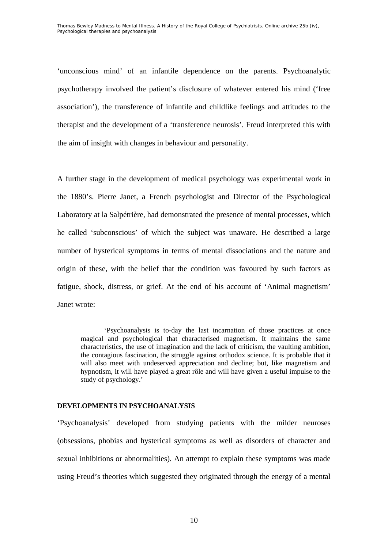'unconscious mind' of an infantile dependence on the parents. Psychoanalytic psychotherapy involved the patient's disclosure of whatever entered his mind ('free association'), the transference of infantile and childlike feelings and attitudes to the therapist and the development of a 'transference neurosis'. Freud interpreted this with the aim of insight with changes in behaviour and personality.

A further stage in the development of medical psychology was experimental work in the 1880's. Pierre Janet, a French psychologist and Director of the Psychological Laboratory at la Salpétrière, had demonstrated the presence of mental processes, which he called 'subconscious' of which the subject was unaware. He described a large number of hysterical symptoms in terms of mental dissociations and the nature and origin of these, with the belief that the condition was favoured by such factors as fatigue, shock, distress, or grief. At the end of his account of 'Animal magnetism' Janet wrote:

'Psychoanalysis is to-day the last incarnation of those practices at once magical and psychological that characterised magnetism. It maintains the same characteristics, the use of imagination and the lack of criticism, the vaulting ambition, the contagious fascination, the struggle against orthodox science. It is probable that it will also meet with undeserved appreciation and decline; but, like magnetism and hypnotism, it will have played a great rôle and will have given a useful impulse to the study of psychology.'

#### **DEVELOPMENTS IN PSYCHOANALYSIS**

'Psychoanalysis' developed from studying patients with the milder neuroses (obsessions, phobias and hysterical symptoms as well as disorders of character and sexual inhibitions or abnormalities). An attempt to explain these symptoms was made using Freud's theories which suggested they originated through the energy of a mental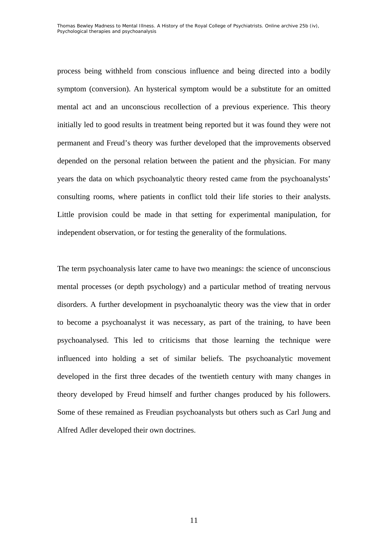process being withheld from conscious influence and being directed into a bodily symptom (conversion). An hysterical symptom would be a substitute for an omitted mental act and an unconscious recollection of a previous experience. This theory initially led to good results in treatment being reported but it was found they were not permanent and Freud's theory was further developed that the improvements observed depended on the personal relation between the patient and the physician. For many years the data on which psychoanalytic theory rested came from the psychoanalysts' consulting rooms, where patients in conflict told their life stories to their analysts. Little provision could be made in that setting for experimental manipulation, for independent observation, or for testing the generality of the formulations.

The term psychoanalysis later came to have two meanings: the science of unconscious mental processes (or depth psychology) and a particular method of treating nervous disorders. A further development in psychoanalytic theory was the view that in order to become a psychoanalyst it was necessary, as part of the training, to have been psychoanalysed. This led to criticisms that those learning the technique were influenced into holding a set of similar beliefs. The psychoanalytic movement developed in the first three decades of the twentieth century with many changes in theory developed by Freud himself and further changes produced by his followers. Some of these remained as Freudian psychoanalysts but others such as Carl Jung and Alfred Adler developed their own doctrines.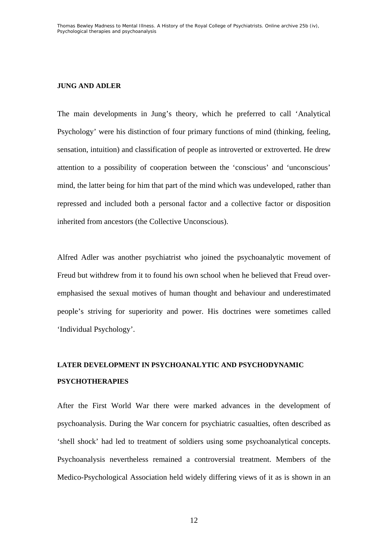#### **JUNG AND ADLER**

The main developments in Jung's theory, which he preferred to call 'Analytical Psychology' were his distinction of four primary functions of mind (thinking, feeling, sensation, intuition) and classification of people as introverted or extroverted. He drew attention to a possibility of cooperation between the 'conscious' and 'unconscious' mind, the latter being for him that part of the mind which was undeveloped, rather than repressed and included both a personal factor and a collective factor or disposition inherited from ancestors (the Collective Unconscious).

Alfred Adler was another psychiatrist who joined the psychoanalytic movement of Freud but withdrew from it to found his own school when he believed that Freud overemphasised the sexual motives of human thought and behaviour and underestimated people's striving for superiority and power. His doctrines were sometimes called 'Individual Psychology'.

# **LATER DEVELOPMENT IN PSYCHOANALYTIC AND PSYCHODYNAMIC PSYCHOTHERAPIES**

After the First World War there were marked advances in the development of psychoanalysis. During the War concern for psychiatric casualties, often described as 'shell shock' had led to treatment of soldiers using some psychoanalytical concepts. Psychoanalysis nevertheless remained a controversial treatment. Members of the Medico-Psychological Association held widely differing views of it as is shown in an

12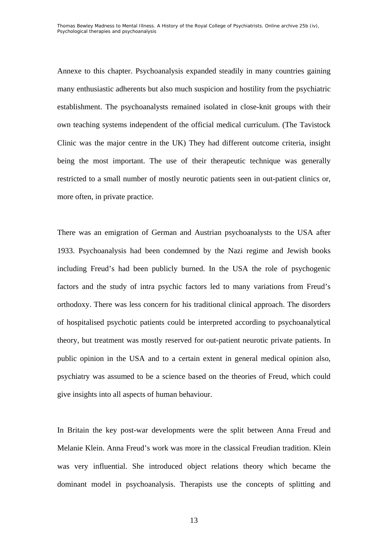Annexe to this chapter. Psychoanalysis expanded steadily in many countries gaining many enthusiastic adherents but also much suspicion and hostility from the psychiatric establishment. The psychoanalysts remained isolated in close-knit groups with their own teaching systems independent of the official medical curriculum. (The Tavistock Clinic was the major centre in the UK) They had different outcome criteria, insight being the most important. The use of their therapeutic technique was generally restricted to a small number of mostly neurotic patients seen in out-patient clinics or, more often, in private practice.

There was an emigration of German and Austrian psychoanalysts to the USA after 1933. Psychoanalysis had been condemned by the Nazi regime and Jewish books including Freud's had been publicly burned. In the USA the role of psychogenic factors and the study of intra psychic factors led to many variations from Freud's orthodoxy. There was less concern for his traditional clinical approach. The disorders of hospitalised psychotic patients could be interpreted according to psychoanalytical theory, but treatment was mostly reserved for out-patient neurotic private patients. In public opinion in the USA and to a certain extent in general medical opinion also, psychiatry was assumed to be a science based on the theories of Freud, which could give insights into all aspects of human behaviour.

In Britain the key post-war developments were the split between Anna Freud and Melanie Klein. Anna Freud's work was more in the classical Freudian tradition. Klein was very influential. She introduced object relations theory which became the dominant model in psychoanalysis. Therapists use the concepts of splitting and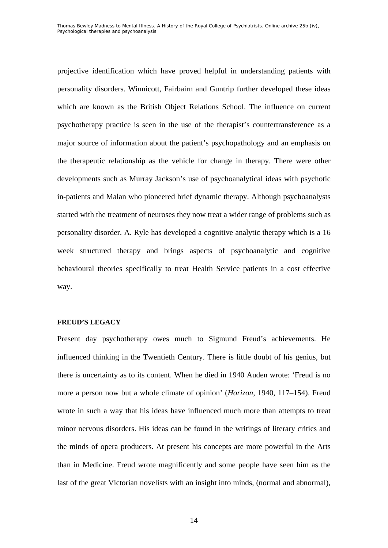projective identification which have proved helpful in understanding patients with personality disorders. Winnicott, Fairbairn and Guntrip further developed these ideas which are known as the British Object Relations School. The influence on current psychotherapy practice is seen in the use of the therapist's countertransference as a major source of information about the patient's psychopathology and an emphasis on the therapeutic relationship as the vehicle for change in therapy. There were other developments such as Murray Jackson's use of psychoanalytical ideas with psychotic in-patients and Malan who pioneered brief dynamic therapy. Although psychoanalysts started with the treatment of neuroses they now treat a wider range of problems such as personality disorder. A. Ryle has developed a cognitive analytic therapy which is a 16 week structured therapy and brings aspects of psychoanalytic and cognitive behavioural theories specifically to treat Health Service patients in a cost effective way.

#### **FREUD'S LEGACY**

Present day psychotherapy owes much to Sigmund Freud's achievements. He influenced thinking in the Twentieth Century. There is little doubt of his genius, but there is uncertainty as to its content. When he died in 1940 Auden wrote: 'Freud is no more a person now but a whole climate of opinion' (*Horizon*, 1940, 117–154). Freud wrote in such a way that his ideas have influenced much more than attempts to treat minor nervous disorders. His ideas can be found in the writings of literary critics and the minds of opera producers. At present his concepts are more powerful in the Arts than in Medicine. Freud wrote magnificently and some people have seen him as the last of the great Victorian novelists with an insight into minds, (normal and abnormal),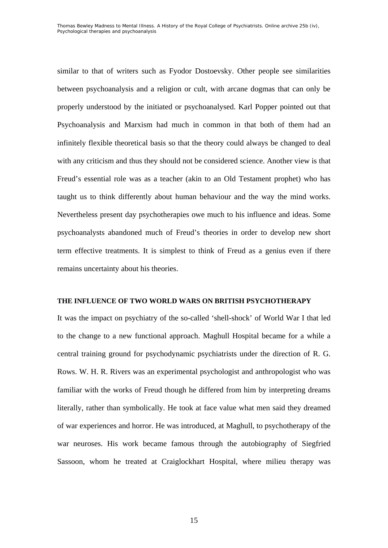similar to that of writers such as Fyodor Dostoevsky. Other people see similarities between psychoanalysis and a religion or cult, with arcane dogmas that can only be properly understood by the initiated or psychoanalysed. Karl Popper pointed out that Psychoanalysis and Marxism had much in common in that both of them had an infinitely flexible theoretical basis so that the theory could always be changed to deal with any criticism and thus they should not be considered science. Another view is that Freud's essential role was as a teacher (akin to an Old Testament prophet) who has taught us to think differently about human behaviour and the way the mind works. Nevertheless present day psychotherapies owe much to his influence and ideas. Some psychoanalysts abandoned much of Freud's theories in order to develop new short term effective treatments. It is simplest to think of Freud as a genius even if there remains uncertainty about his theories.

#### **THE INFLUENCE OF TWO WORLD WARS ON BRITISH PSYCHOTHERAPY**

It was the impact on psychiatry of the so-called 'shell-shock' of World War I that led to the change to a new functional approach. Maghull Hospital became for a while a central training ground for psychodynamic psychiatrists under the direction of R. G. Rows. W. H. R. Rivers was an experimental psychologist and anthropologist who was familiar with the works of Freud though he differed from him by interpreting dreams literally, rather than symbolically. He took at face value what men said they dreamed of war experiences and horror. He was introduced, at Maghull, to psychotherapy of the war neuroses. His work became famous through the autobiography of Siegfried Sassoon, whom he treated at Craiglockhart Hospital, where milieu therapy was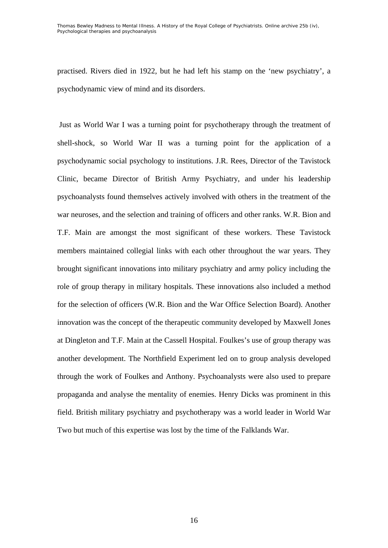practised. Rivers died in 1922, but he had left his stamp on the 'new psychiatry', a psychodynamic view of mind and its disorders.

 Just as World War I was a turning point for psychotherapy through the treatment of shell-shock, so World War II was a turning point for the application of a psychodynamic social psychology to institutions. J.R. Rees, Director of the Tavistock Clinic, became Director of British Army Psychiatry, and under his leadership psychoanalysts found themselves actively involved with others in the treatment of the war neuroses, and the selection and training of officers and other ranks. W.R. Bion and T.F. Main are amongst the most significant of these workers. These Tavistock members maintained collegial links with each other throughout the war years. They brought significant innovations into military psychiatry and army policy including the role of group therapy in military hospitals. These innovations also included a method for the selection of officers (W.R. Bion and the War Office Selection Board). Another innovation was the concept of the therapeutic community developed by Maxwell Jones at Dingleton and T.F. Main at the Cassell Hospital. Foulkes's use of group therapy was another development. The Northfield Experiment led on to group analysis developed through the work of Foulkes and Anthony. Psychoanalysts were also used to prepare propaganda and analyse the mentality of enemies. Henry Dicks was prominent in this field. British military psychiatry and psychotherapy was a world leader in World War Two but much of this expertise was lost by the time of the Falklands War.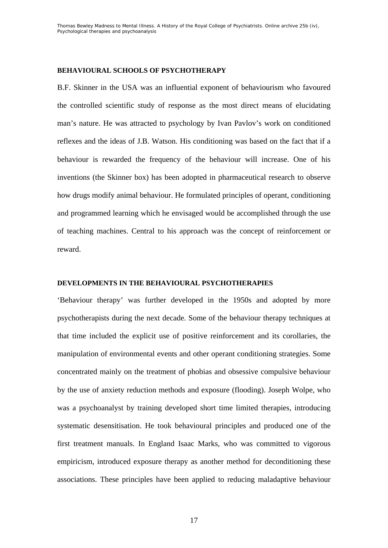#### **BEHAVIOURAL SCHOOLS OF PSYCHOTHERAPY**

B.F. Skinner in the USA was an influential exponent of behaviourism who favoured the controlled scientific study of response as the most direct means of elucidating man's nature. He was attracted to psychology by Ivan Pavlov's work on conditioned reflexes and the ideas of J.B. Watson. His conditioning was based on the fact that if a behaviour is rewarded the frequency of the behaviour will increase. One of his inventions (the Skinner box) has been adopted in pharmaceutical research to observe how drugs modify animal behaviour. He formulated principles of operant, conditioning and programmed learning which he envisaged would be accomplished through the use of teaching machines. Central to his approach was the concept of reinforcement or reward.

#### **DEVELOPMENTS IN THE BEHAVIOURAL PSYCHOTHERAPIES**

'Behaviour therapy' was further developed in the 1950s and adopted by more psychotherapists during the next decade. Some of the behaviour therapy techniques at that time included the explicit use of positive reinforcement and its corollaries, the manipulation of environmental events and other operant conditioning strategies. Some concentrated mainly on the treatment of phobias and obsessive compulsive behaviour by the use of anxiety reduction methods and exposure (flooding). Joseph Wolpe, who was a psychoanalyst by training developed short time limited therapies, introducing systematic desensitisation. He took behavioural principles and produced one of the first treatment manuals. In England Isaac Marks, who was committed to vigorous empiricism, introduced exposure therapy as another method for deconditioning these associations. These principles have been applied to reducing maladaptive behaviour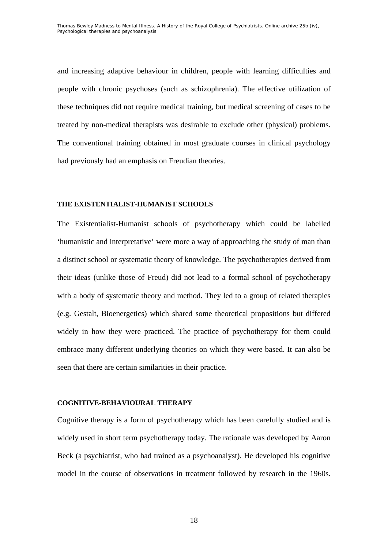and increasing adaptive behaviour in children, people with learning difficulties and people with chronic psychoses (such as schizophrenia). The effective utilization of these techniques did not require medical training, but medical screening of cases to be treated by non-medical therapists was desirable to exclude other (physical) problems. The conventional training obtained in most graduate courses in clinical psychology had previously had an emphasis on Freudian theories.

#### **THE EXISTENTIALIST-HUMANIST SCHOOLS**

The Existentialist-Humanist schools of psychotherapy which could be labelled 'humanistic and interpretative' were more a way of approaching the study of man than a distinct school or systematic theory of knowledge. The psychotherapies derived from their ideas (unlike those of Freud) did not lead to a formal school of psychotherapy with a body of systematic theory and method. They led to a group of related therapies (e.g. Gestalt, Bioenergetics) which shared some theoretical propositions but differed widely in how they were practiced. The practice of psychotherapy for them could embrace many different underlying theories on which they were based. It can also be seen that there are certain similarities in their practice.

#### **COGNITIVE-BEHAVIOURAL THERAPY**

Cognitive therapy is a form of psychotherapy which has been carefully studied and is widely used in short term psychotherapy today. The rationale was developed by Aaron Beck (a psychiatrist, who had trained as a psychoanalyst). He developed his cognitive model in the course of observations in treatment followed by research in the 1960s.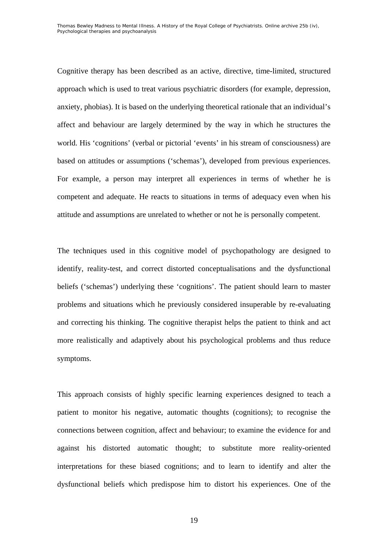Cognitive therapy has been described as an active, directive, time-limited, structured approach which is used to treat various psychiatric disorders (for example, depression, anxiety, phobias). It is based on the underlying theoretical rationale that an individual's affect and behaviour are largely determined by the way in which he structures the world. His 'cognitions' (verbal or pictorial 'events' in his stream of consciousness) are based on attitudes or assumptions ('schemas'), developed from previous experiences. For example, a person may interpret all experiences in terms of whether he is competent and adequate. He reacts to situations in terms of adequacy even when his attitude and assumptions are unrelated to whether or not he is personally competent.

The techniques used in this cognitive model of psychopathology are designed to identify, reality-test, and correct distorted conceptualisations and the dysfunctional beliefs ('schemas') underlying these 'cognitions'. The patient should learn to master problems and situations which he previously considered insuperable by re-evaluating and correcting his thinking. The cognitive therapist helps the patient to think and act more realistically and adaptively about his psychological problems and thus reduce symptoms.

This approach consists of highly specific learning experiences designed to teach a patient to monitor his negative, automatic thoughts (cognitions); to recognise the connections between cognition, affect and behaviour; to examine the evidence for and against his distorted automatic thought; to substitute more reality-oriented interpretations for these biased cognitions; and to learn to identify and alter the dysfunctional beliefs which predispose him to distort his experiences. One of the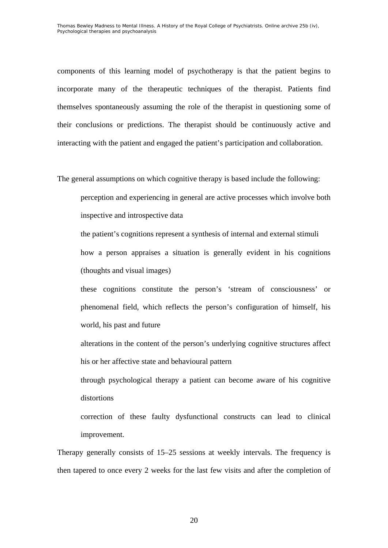components of this learning model of psychotherapy is that the patient begins to incorporate many of the therapeutic techniques of the therapist. Patients find themselves spontaneously assuming the role of the therapist in questioning some of their conclusions or predictions. The therapist should be continuously active and interacting with the patient and engaged the patient's participation and collaboration.

The general assumptions on which cognitive therapy is based include the following:

perception and experiencing in general are active processes which involve both inspective and introspective data

the patient's cognitions represent a synthesis of internal and external stimuli how a person appraises a situation is generally evident in his cognitions (thoughts and visual images)

these cognitions constitute the person's 'stream of consciousness' or phenomenal field, which reflects the person's configuration of himself, his world, his past and future

alterations in the content of the person's underlying cognitive structures affect his or her affective state and behavioural pattern

through psychological therapy a patient can become aware of his cognitive distortions

correction of these faulty dysfunctional constructs can lead to clinical improvement.

Therapy generally consists of 15–25 sessions at weekly intervals. The frequency is then tapered to once every 2 weeks for the last few visits and after the completion of

20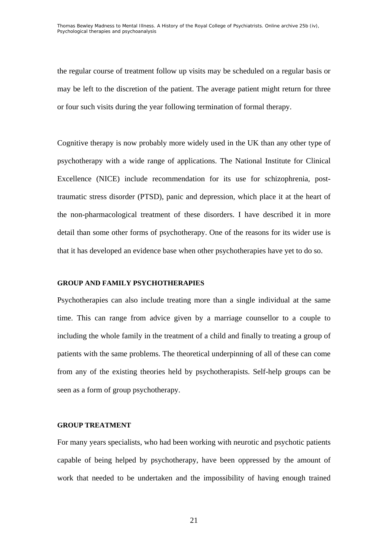the regular course of treatment follow up visits may be scheduled on a regular basis or may be left to the discretion of the patient. The average patient might return for three or four such visits during the year following termination of formal therapy.

Cognitive therapy is now probably more widely used in the UK than any other type of psychotherapy with a wide range of applications. The National Institute for Clinical Excellence (NICE) include recommendation for its use for schizophrenia, posttraumatic stress disorder (PTSD), panic and depression, which place it at the heart of the non-pharmacological treatment of these disorders. I have described it in more detail than some other forms of psychotherapy. One of the reasons for its wider use is that it has developed an evidence base when other psychotherapies have yet to do so.

#### **GROUP AND FAMILY PSYCHOTHERAPIES**

Psychotherapies can also include treating more than a single individual at the same time. This can range from advice given by a marriage counsellor to a couple to including the whole family in the treatment of a child and finally to treating a group of patients with the same problems. The theoretical underpinning of all of these can come from any of the existing theories held by psychotherapists. Self-help groups can be seen as a form of group psychotherapy.

#### **GROUP TREATMENT**

For many years specialists, who had been working with neurotic and psychotic patients capable of being helped by psychotherapy, have been oppressed by the amount of work that needed to be undertaken and the impossibility of having enough trained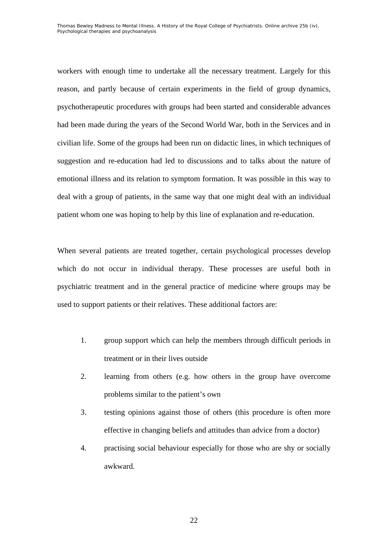workers with enough time to undertake all the necessary treatment. Largely for this reason, and partly because of certain experiments in the field of group dynamics, psychotherapeutic procedures with groups had been started and considerable advances had been made during the years of the Second World War, both in the Services and in civilian life. Some of the groups had been run on didactic lines, in which techniques of suggestion and re-education had led to discussions and to talks about the nature of emotional illness and its relation to symptom formation. It was possible in this way to deal with a group of patients, in the same way that one might deal with an individual patient whom one was hoping to help by this line of explanation and re-education.

When several patients are treated together, certain psychological processes develop which do not occur in individual therapy. These processes are useful both in psychiatric treatment and in the general practice of medicine where groups may be used to support patients or their relatives. These additional factors are:

- 1. group support which can help the members through difficult periods in treatment or in their lives outside
- 2. learning from others (e.g. how others in the group have overcome problems similar to the patient's own
- 3. testing opinions against those of others (this procedure is often more effective in changing beliefs and attitudes than advice from a doctor)
- 4. practising social behaviour especially for those who are shy or socially awkward.

22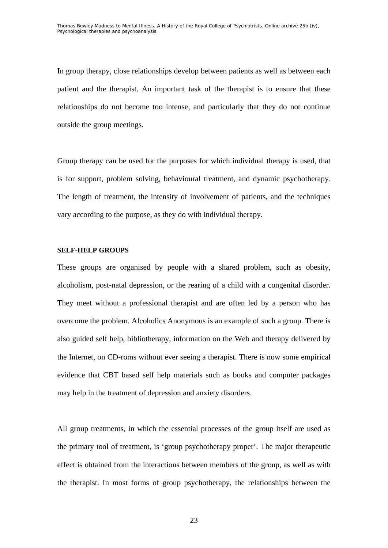In group therapy, close relationships develop between patients as well as between each patient and the therapist. An important task of the therapist is to ensure that these relationships do not become too intense, and particularly that they do not continue outside the group meetings.

Group therapy can be used for the purposes for which individual therapy is used, that is for support, problem solving, behavioural treatment, and dynamic psychotherapy. The length of treatment, the intensity of involvement of patients, and the techniques vary according to the purpose, as they do with individual therapy.

#### **SELF-HELP GROUPS**

These groups are organised by people with a shared problem, such as obesity, alcoholism, post-natal depression, or the rearing of a child with a congenital disorder. They meet without a professional therapist and are often led by a person who has overcome the problem. Alcoholics Anonymous is an example of such a group. There is also guided self help, bibliotherapy, information on the Web and therapy delivered by the Internet, on CD-roms without ever seeing a therapist. There is now some empirical evidence that CBT based self help materials such as books and computer packages may help in the treatment of depression and anxiety disorders.

All group treatments, in which the essential processes of the group itself are used as the primary tool of treatment, is 'group psychotherapy proper'. The major therapeutic effect is obtained from the interactions between members of the group, as well as with the therapist. In most forms of group psychotherapy, the relationships between the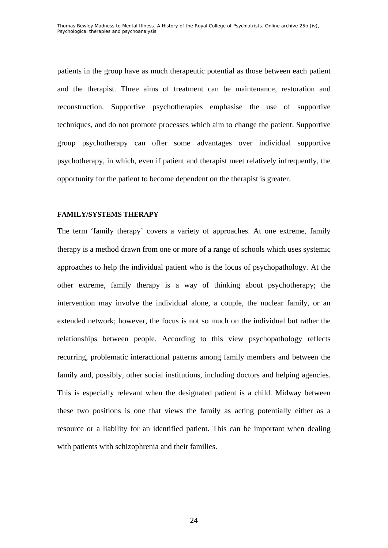patients in the group have as much therapeutic potential as those between each patient and the therapist. Three aims of treatment can be maintenance, restoration and reconstruction. Supportive psychotherapies emphasise the use of supportive techniques, and do not promote processes which aim to change the patient. Supportive group psychotherapy can offer some advantages over individual supportive psychotherapy, in which, even if patient and therapist meet relatively infrequently, the opportunity for the patient to become dependent on the therapist is greater.

#### **FAMILY/SYSTEMS THERAPY**

The term 'family therapy' covers a variety of approaches. At one extreme, family therapy is a method drawn from one or more of a range of schools which uses systemic approaches to help the individual patient who is the locus of psychopathology. At the other extreme, family therapy is a way of thinking about psychotherapy; the intervention may involve the individual alone, a couple, the nuclear family, or an extended network; however, the focus is not so much on the individual but rather the relationships between people. According to this view psychopathology reflects recurring, problematic interactional patterns among family members and between the family and, possibly, other social institutions, including doctors and helping agencies. This is especially relevant when the designated patient is a child. Midway between these two positions is one that views the family as acting potentially either as a resource or a liability for an identified patient. This can be important when dealing with patients with schizophrenia and their families.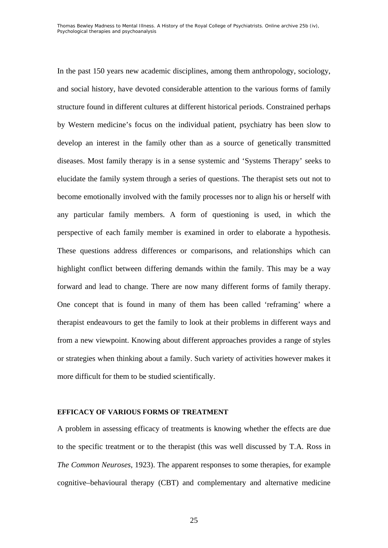In the past 150 years new academic disciplines, among them anthropology, sociology, and social history, have devoted considerable attention to the various forms of family structure found in different cultures at different historical periods. Constrained perhaps by Western medicine's focus on the individual patient, psychiatry has been slow to develop an interest in the family other than as a source of genetically transmitted diseases. Most family therapy is in a sense systemic and 'Systems Therapy' seeks to elucidate the family system through a series of questions. The therapist sets out not to become emotionally involved with the family processes nor to align his or herself with any particular family members. A form of questioning is used, in which the perspective of each family member is examined in order to elaborate a hypothesis. These questions address differences or comparisons, and relationships which can highlight conflict between differing demands within the family. This may be a way forward and lead to change. There are now many different forms of family therapy. One concept that is found in many of them has been called 'reframing' where a therapist endeavours to get the family to look at their problems in different ways and from a new viewpoint. Knowing about different approaches provides a range of styles or strategies when thinking about a family. Such variety of activities however makes it more difficult for them to be studied scientifically.

### **EFFICACY OF VARIOUS FORMS OF TREATMENT**

A problem in assessing efficacy of treatments is knowing whether the effects are due to the specific treatment or to the therapist (this was well discussed by T.A. Ross in *The Common Neuroses*, 1923). The apparent responses to some therapies, for example cognitive–behavioural therapy (CBT) and complementary and alternative medicine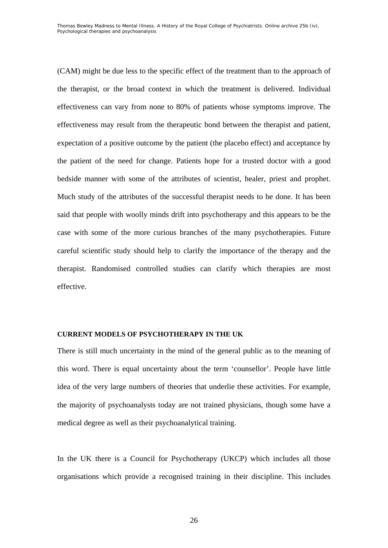(CAM) might be due less to the specific effect of the treatment than to the approach of the therapist, or the broad context in which the treatment is delivered. Individual effectiveness can vary from none to 80% of patients whose symptoms improve. The effectiveness may result from the therapeutic bond between the therapist and patient, expectation of a positive outcome by the patient (the placebo effect) and acceptance by the patient of the need for change. Patients hope for a trusted doctor with a good bedside manner with some of the attributes of scientist, healer, priest and prophet. Much study of the attributes of the successful therapist needs to be done. It has been said that people with woolly minds drift into psychotherapy and this appears to be the case with some of the more curious branches of the many psychotherapies. Future careful scientific study should help to clarify the importance of the therapy and the therapist. Randomised controlled studies can clarify which therapies are most effective.

#### **CURRENT MODELS OF PSYCHOTHERAPY IN THE UK**

There is still much uncertainty in the mind of the general public as to the meaning of this word. There is equal uncertainty about the term 'counsellor'. People have little idea of the very large numbers of theories that underlie these activities. For example, the majority of psychoanalysts today are not trained physicians, though some have a medical degree as well as their psychoanalytical training.

In the UK there is a Council for Psychotherapy (UKCP) which includes all those organisations which provide a recognised training in their discipline. This includes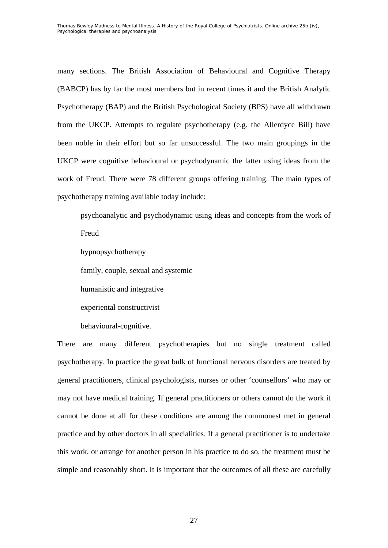many sections. The British Association of Behavioural and Cognitive Therapy (BABCP) has by far the most members but in recent times it and the British Analytic Psychotherapy (BAP) and the British Psychological Society (BPS) have all withdrawn from the UKCP. Attempts to regulate psychotherapy (e.g. the Allerdyce Bill) have been noble in their effort but so far unsuccessful. The two main groupings in the UKCP were cognitive behavioural or psychodynamic the latter using ideas from the work of Freud. There were 78 different groups offering training. The main types of psychotherapy training available today include:

psychoanalytic and psychodynamic using ideas and concepts from the work of Freud

hypnopsychotherapy

family, couple, sexual and systemic

humanistic and integrative

experiental constructivist

behavioural-cognitive.

There are many different psychotherapies but no single treatment called psychotherapy. In practice the great bulk of functional nervous disorders are treated by general practitioners, clinical psychologists, nurses or other 'counsellors' who may or may not have medical training. If general practitioners or others cannot do the work it cannot be done at all for these conditions are among the commonest met in general practice and by other doctors in all specialities. If a general practitioner is to undertake this work, or arrange for another person in his practice to do so, the treatment must be simple and reasonably short. It is important that the outcomes of all these are carefully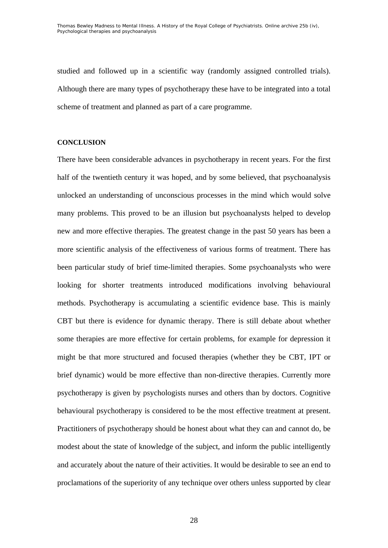studied and followed up in a scientific way (randomly assigned controlled trials). Although there are many types of psychotherapy these have to be integrated into a total scheme of treatment and planned as part of a care programme.

#### **CONCLUSION**

There have been considerable advances in psychotherapy in recent years. For the first half of the twentieth century it was hoped, and by some believed, that psychoanalysis unlocked an understanding of unconscious processes in the mind which would solve many problems. This proved to be an illusion but psychoanalysts helped to develop new and more effective therapies. The greatest change in the past 50 years has been a more scientific analysis of the effectiveness of various forms of treatment. There has been particular study of brief time-limited therapies. Some psychoanalysts who were looking for shorter treatments introduced modifications involving behavioural methods. Psychotherapy is accumulating a scientific evidence base. This is mainly CBT but there is evidence for dynamic therapy. There is still debate about whether some therapies are more effective for certain problems, for example for depression it might be that more structured and focused therapies (whether they be CBT, IPT or brief dynamic) would be more effective than non-directive therapies. Currently more psychotherapy is given by psychologists nurses and others than by doctors. Cognitive behavioural psychotherapy is considered to be the most effective treatment at present. Practitioners of psychotherapy should be honest about what they can and cannot do, be modest about the state of knowledge of the subject, and inform the public intelligently and accurately about the nature of their activities. It would be desirable to see an end to proclamations of the superiority of any technique over others unless supported by clear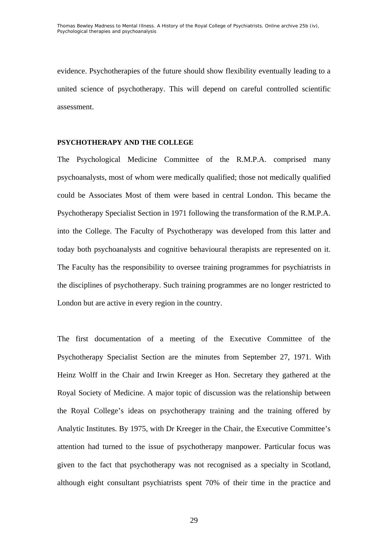evidence. Psychotherapies of the future should show flexibility eventually leading to a united science of psychotherapy. This will depend on careful controlled scientific assessment.

#### **PSYCHOTHERAPY AND THE COLLEGE**

The Psychological Medicine Committee of the R.M.P.A. comprised many psychoanalysts, most of whom were medically qualified; those not medically qualified could be Associates Most of them were based in central London. This became the Psychotherapy Specialist Section in 1971 following the transformation of the R.M.P.A. into the College. The Faculty of Psychotherapy was developed from this latter and today both psychoanalysts and cognitive behavioural therapists are represented on it. The Faculty has the responsibility to oversee training programmes for psychiatrists in the disciplines of psychotherapy. Such training programmes are no longer restricted to London but are active in every region in the country.

The first documentation of a meeting of the Executive Committee of the Psychotherapy Specialist Section are the minutes from September 27, 1971. With Heinz Wolff in the Chair and Irwin Kreeger as Hon. Secretary they gathered at the Royal Society of Medicine. A major topic of discussion was the relationship between the Royal College's ideas on psychotherapy training and the training offered by Analytic Institutes. By 1975, with Dr Kreeger in the Chair, the Executive Committee's attention had turned to the issue of psychotherapy manpower. Particular focus was given to the fact that psychotherapy was not recognised as a specialty in Scotland, although eight consultant psychiatrists spent 70% of their time in the practice and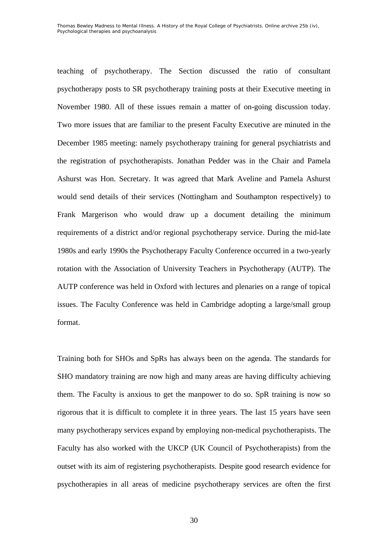teaching of psychotherapy. The Section discussed the ratio of consultant psychotherapy posts to SR psychotherapy training posts at their Executive meeting in November 1980. All of these issues remain a matter of on-going discussion today. Two more issues that are familiar to the present Faculty Executive are minuted in the December 1985 meeting: namely psychotherapy training for general psychiatrists and the registration of psychotherapists. Jonathan Pedder was in the Chair and Pamela Ashurst was Hon. Secretary. It was agreed that Mark Aveline and Pamela Ashurst would send details of their services (Nottingham and Southampton respectively) to Frank Margerison who would draw up a document detailing the minimum requirements of a district and/or regional psychotherapy service. During the mid-late 1980s and early 1990s the Psychotherapy Faculty Conference occurred in a two-yearly rotation with the Association of University Teachers in Psychotherapy (AUTP). The AUTP conference was held in Oxford with lectures and plenaries on a range of topical issues. The Faculty Conference was held in Cambridge adopting a large/small group format.

Training both for SHOs and SpRs has always been on the agenda. The standards for SHO mandatory training are now high and many areas are having difficulty achieving them. The Faculty is anxious to get the manpower to do so. SpR training is now so rigorous that it is difficult to complete it in three years. The last 15 years have seen many psychotherapy services expand by employing non-medical psychotherapists. The Faculty has also worked with the UKCP (UK Council of Psychotherapists) from the outset with its aim of registering psychotherapists. Despite good research evidence for psychotherapies in all areas of medicine psychotherapy services are often the first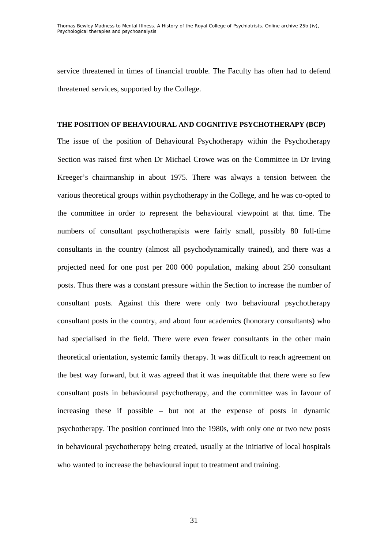service threatened in times of financial trouble. The Faculty has often had to defend threatened services, supported by the College.

### **THE POSITION OF BEHAVIOURAL AND COGNITIVE PSYCHOTHERAPY (BCP)**

The issue of the position of Behavioural Psychotherapy within the Psychotherapy Section was raised first when Dr Michael Crowe was on the Committee in Dr Irving Kreeger's chairmanship in about 1975. There was always a tension between the various theoretical groups within psychotherapy in the College, and he was co-opted to the committee in order to represent the behavioural viewpoint at that time. The numbers of consultant psychotherapists were fairly small, possibly 80 full-time consultants in the country (almost all psychodynamically trained), and there was a projected need for one post per 200 000 population, making about 250 consultant posts. Thus there was a constant pressure within the Section to increase the number of consultant posts. Against this there were only two behavioural psychotherapy consultant posts in the country, and about four academics (honorary consultants) who had specialised in the field. There were even fewer consultants in the other main theoretical orientation, systemic family therapy. It was difficult to reach agreement on the best way forward, but it was agreed that it was inequitable that there were so few consultant posts in behavioural psychotherapy, and the committee was in favour of increasing these if possible – but not at the expense of posts in dynamic psychotherapy. The position continued into the 1980s, with only one or two new posts in behavioural psychotherapy being created, usually at the initiative of local hospitals who wanted to increase the behavioural input to treatment and training.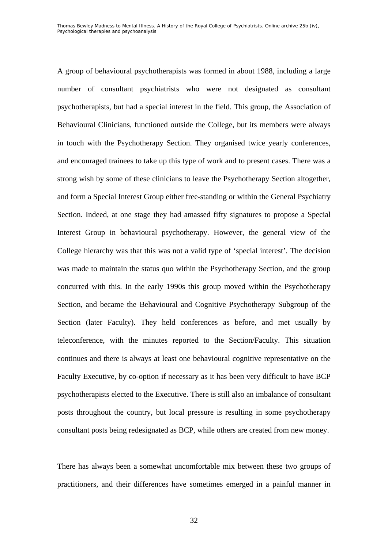A group of behavioural psychotherapists was formed in about 1988, including a large number of consultant psychiatrists who were not designated as consultant psychotherapists, but had a special interest in the field. This group, the Association of Behavioural Clinicians, functioned outside the College, but its members were always in touch with the Psychotherapy Section. They organised twice yearly conferences, and encouraged trainees to take up this type of work and to present cases. There was a strong wish by some of these clinicians to leave the Psychotherapy Section altogether, and form a Special Interest Group either free-standing or within the General Psychiatry Section. Indeed, at one stage they had amassed fifty signatures to propose a Special Interest Group in behavioural psychotherapy. However, the general view of the College hierarchy was that this was not a valid type of 'special interest'. The decision was made to maintain the status quo within the Psychotherapy Section, and the group concurred with this. In the early 1990s this group moved within the Psychotherapy Section, and became the Behavioural and Cognitive Psychotherapy Subgroup of the Section (later Faculty). They held conferences as before, and met usually by teleconference, with the minutes reported to the Section/Faculty. This situation continues and there is always at least one behavioural cognitive representative on the Faculty Executive, by co-option if necessary as it has been very difficult to have BCP psychotherapists elected to the Executive. There is still also an imbalance of consultant posts throughout the country, but local pressure is resulting in some psychotherapy consultant posts being redesignated as BCP, while others are created from new money.

There has always been a somewhat uncomfortable mix between these two groups of practitioners, and their differences have sometimes emerged in a painful manner in